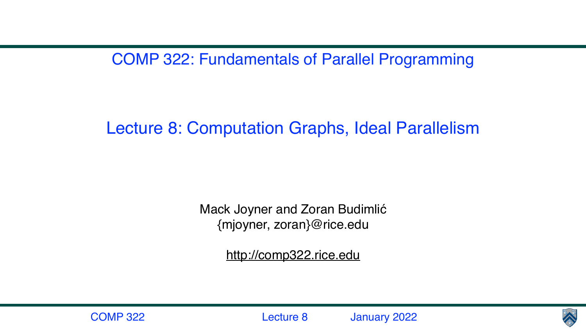COMP 322: Fundamentals of Parallel Programming

## Lecture 8: Computation Graphs, Ideal Parallelism

Mack Joyner and Zoran Budimlić {mjoyner, zoran}@rice.edu

<http://comp322.rice.edu>





COMP 322 Lecture 8 January 2022

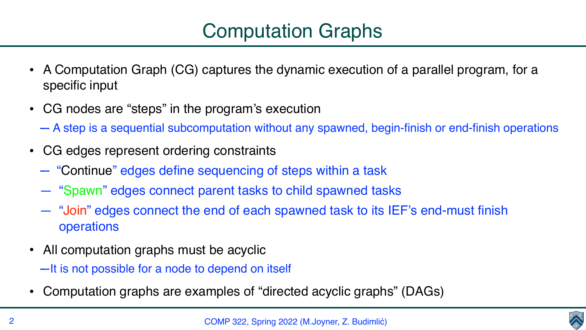



- A Computation Graph (CG) captures the dynamic execution of a parallel program, for a specific input
- CG nodes are "steps" in the program's execution — A step is a sequential subcomputation without any spawned, begin-finish or end-finish operations
- CG edges represent ordering constraints
	- "Continue" edges define sequencing of steps within a task
	- "Spawn" edges connect parent tasks to child spawned tasks
	- "Join" edges connect the end of each spawned task to its IEF's end-must finish operations
- All computation graphs must be acyclic —It is not possible for a node to depend on itself
- Computation graphs are examples of "directed acyclic graphs" (DAGs)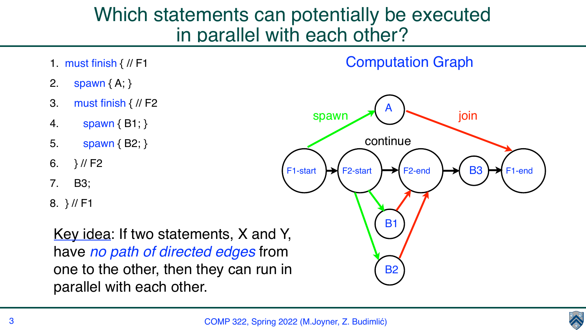- 1. must finish { // F1
- 2. spawn { A; }
- 3. must finish { // F2
- 4. spawn { B1; }
- 5. spawn { B2; }
- 6.  $}$  // F2
- 7. B3;
- 8. } // F1



## Which statements can potentially be executed in parallel with each other?

Key idea: If two statements, X and Y, have *no path of directed edges* from one to the other, then they can run in parallel with each other.



#### Computation Graph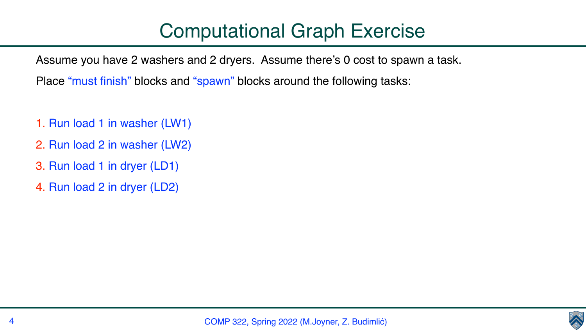Assume you have 2 washers and 2 dryers. Assume there's 0 cost to spawn a task.

Place "must finish" blocks and "spawn" blocks around the following tasks:

- 1. Run load 1 in washer (LW1)
- 2. Run load 2 in washer (LW2)
- 3. Run load 1 in dryer (LD1)
- 4. Run load 2 in dryer (LD2)

## Computational Graph Exercise

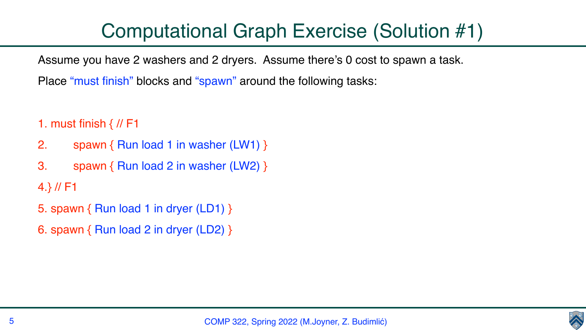Assume you have 2 washers and 2 dryers. Assume there's 0 cost to spawn a task. Place "must finish" blocks and "spawn" around the following tasks:

- 1. must finish  $\frac{1}{1}$  // F1
- 2. spawn { Run load 1 in washer (LW1) }
- 3. spawn { Run load 2 in washer (LW2) } 4.} // F1
- 5. spawn { Run load 1 in dryer (LD1) }
- 6. spawn { Run load 2 in dryer (LD2) }

## Computational Graph Exercise (Solution #1)

- 
- 

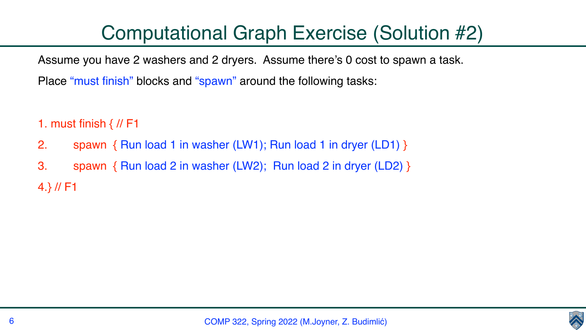Assume you have 2 washers and 2 dryers. Assume there's 0 cost to spawn a task.

- 
- Place "must finish" blocks and "spawn" around the following tasks:

- 1. must finish  $\frac{1}{1}$  // F1
- 2. spawn { Run load 1 in washer (LW1); Run load 1 in dryer (LD1) }
- 3. spawn { Run load 2 in washer (LW2); Run load 2 in dryer (LD2) } 4.} // F1

COMP 322, Spring 2022 (M.Joyner, Z. Budimlić)



# Computational Graph Exercise (Solution #2)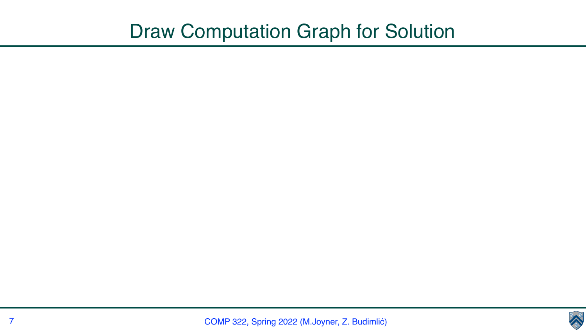

## Draw Computation Graph for Solution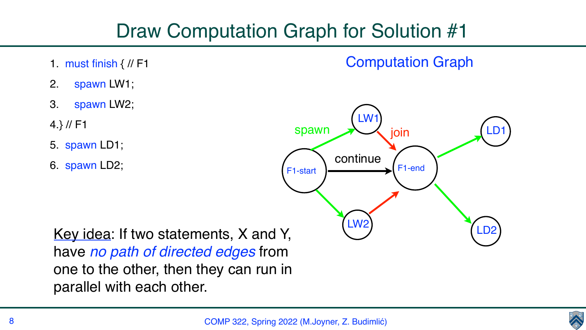- 1. must finish { // F1
- 2. spawn LW1;
- 3. spawn LW2;
- 4.} // F1
- 5. spawn LD1;
- 6. spawn LD2;



## Draw Computation Graph for Solution #1



## Computation Graph

### Key idea: If two statements, X and Y, have *no path of directed edges* from one to the other, then they can run in parallel with each other.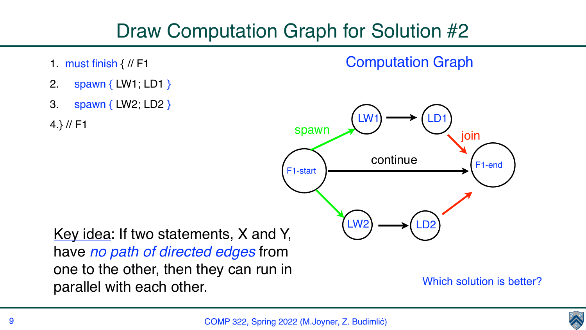## Draw Computation Graph for Solution #2

- 1. must finish { // F1
- 2. spawn { LW1; LD1 }
- 3. spawn { LW2; LD2 }

4.} // F1

### Key idea: If two statements, X and Y, have *no path of directed edges* from one to the other, then they can run in parallel with each other. Which solution is better?





## Computation Graph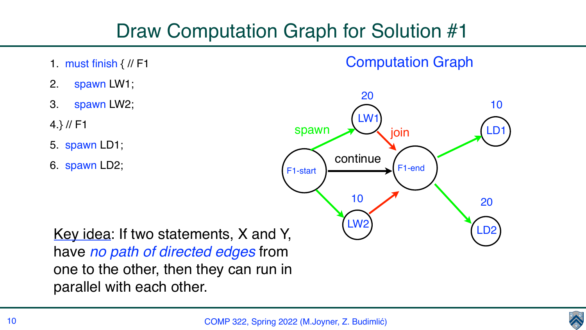- 1. must finish { // F1
- 2. spawn LW1;
- 3. spawn LW2;
- 4.} // F1
- 5. spawn LD1;
- 6. spawn LD2;

## Draw Computation Graph for Solution #1

## Computation Graph





### Key idea: If two statements, X and Y, have *no path of directed edges* from one to the other, then they can run in parallel with each other.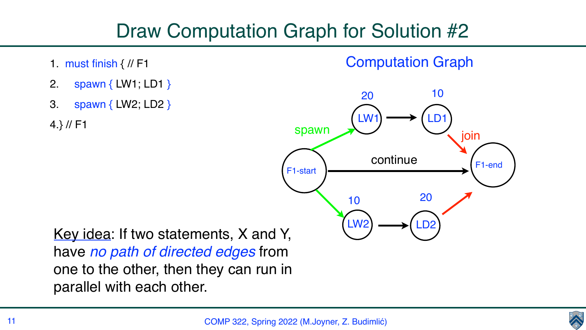## Draw Computation Graph for Solution #2

- 1. must finish { // F1
- 2. spawn { LW1; LD1 }
- 3. spawn { LW2; LD2 }

4.} // F1

COMP 322, Spring 2022 (M.Joyner, Z. Budimlić)



### Computation Graph



### Key idea: If two statements, X and Y, have *no path of directed edges* from one to the other, then they can run in parallel with each other.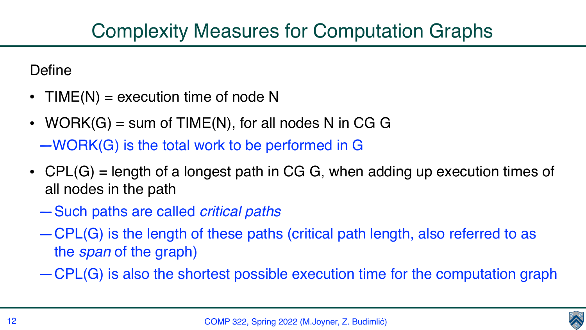## Complexity Measures for Computation Graphs

Define

- $TIME(N) = execution time of node N$
- WORK $(G)$  = sum of TIME(N), for all nodes N in CG G —WORK(G) is the total work to be performed in G
- CPL(G) = length of a longest path in CG G, when adding up execution times of all nodes in the path
	- —Such paths are called *critical paths*
	- —CPL(G) is the length of these paths (critical path length, also referred to as the *span* of the graph)
	- —CPL(G) is also the shortest possible execution time for the computation graph





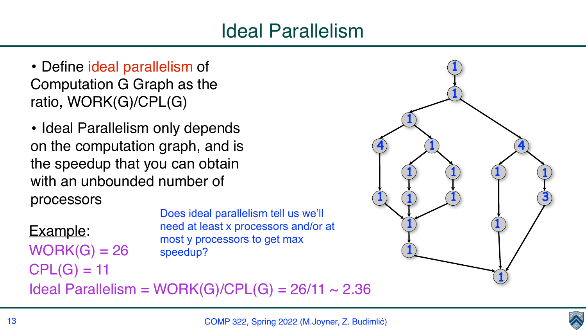## Ideal Parallelism

- De fine ideal parallelism of Computation G Graph as the ratio, WORK(G)/CPL(G )
- Ideal Parallelism only depends on the computation graph, and is the speedup that you can obtain with an unbounded number of processors

Example: WORK(G) = 2 6  $CPL(G) = 11$ 



COMP 322, Spring 2022 (M.Joyner, Z. Budimlić)



Does ideal parallelism tell us we'll need at least x processors and/or at most y processors to get max speedup?

Ideal Parallelism = WORK $(G)/CPL(G)$  = 26/11 ~ 2.36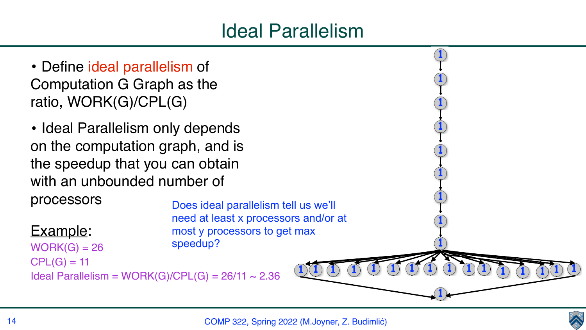



## Ideal Parallelism

- Define ideal parallelism of Computation G Graph as the ratio, WORK(G)/CPL(G)
- Ideal Parallelism only depends on the computation graph, and is the speedup that you can obtain with an unbounded number of

processors

Example:



Does ideal parallelism tell us we'll need at least x processors and/or at most y processors to get max speedup?

 $WORK(G) = 26$  $CPL(G) = 11$ Ideal Parallelism = WORK(G)/CPL(G) =  $26/11 \sim 2.36$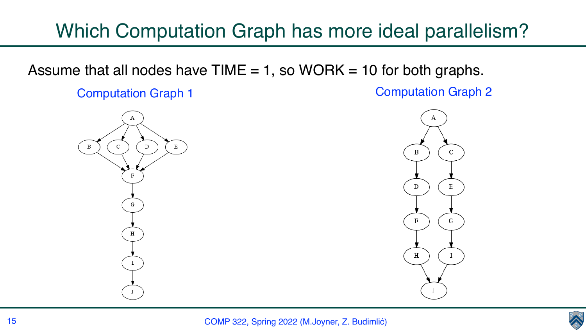

## Which Computation Graph has more ideal parallelism?

Assume that all nodes have TIME  $= 1$ , so WORK  $= 10$  for both graphs.



**Computation Graph 1** Computation Graph 2